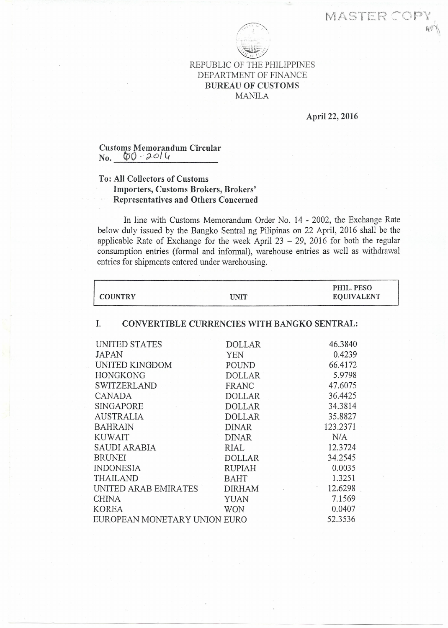MASTER COP



REPUBLIC OF THE PHILIPPINES DEPARTMENT OF FINANCE BUREAU OF CUSTOMS MANILA

April 22, 2016

0.0035 1.3251 12.6298 7.1569 0.0407 52.3536

## Customs Memorandum Circular No. *(00- ,;1-0/0*

## To: All Collectors of Customs Importers, Customs Brokers, Brokers' Representatives and Others Concerned

INDONESIA RUPIAH THAILAND BAHT UNITED ARAB EMIRATES DIRHAM CHINA YUAN KOREA WON EUROPEAN MONETARY UNION EURO

In line with Customs Memorandum Order No. 14 - 2002, the Exchange Rate below duly issued by the Bangko Sentral ng Pilipinas on 22 April, 2016 shall be the applicable Rate of Exchange for the week April  $23 - 29$ , 2016 for both the regular consumption entries (formal and informal), warehouse entries as well as withdrawal entries for shipments entered under warehousing.

| <b>COUNTRY</b>     | <b>UNIT</b>                                        | PHIL. PESO<br><b>EQUIVALENT</b> |
|--------------------|----------------------------------------------------|---------------------------------|
|                    | <b>CONVERTIBLE CURRENCIES WITH BANGKO SENTRAL:</b> |                                 |
| UNITED STATES      | <b>DOLLAR</b>                                      | 46.3840                         |
| JAPAN              | YEN                                                | 0.4239                          |
| UNITED KINGDOM     | <b>POUND</b>                                       | 66.4172                         |
| <b>HONGKONG</b>    | <b>DOLLAR</b>                                      | 5.9798                          |
| <b>SWITZERLAND</b> | FRANC                                              | 47.6075                         |
| CANADA             | <b>DOLLAR</b>                                      | 36,4425                         |
| SINGAPORE          | <b>DOLLAR</b>                                      | 34.3814                         |
| AUSTRALIA          | <b>DOLLAR</b>                                      | 35.8827                         |
| BAHRAIN            | <b>DINAR</b>                                       | 123.2371                        |
| <b>KUWAIT</b>      | DINAR                                              | N/A                             |
| SAUDI ARABIA       | RIAL                                               | 12.3724                         |
| <b>BRUNEI</b>      | DOLLAR                                             | 34.2545                         |